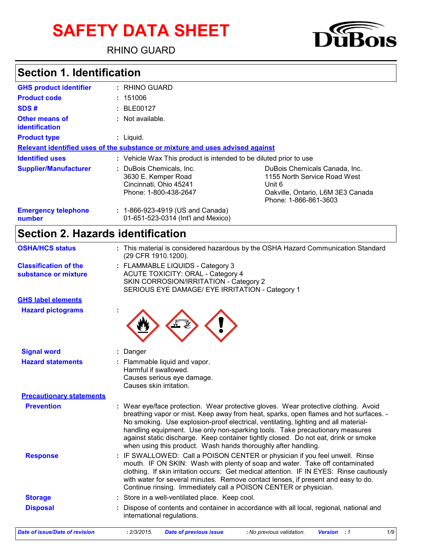# **SAFETY DATA SHEET**

RHINO GUARD



# **Section 1. Identification**

| <b>GHS product identifier</b>           | : RHINO GUARD                                                                                      |                                                                                                                                       |  |  |
|-----------------------------------------|----------------------------------------------------------------------------------------------------|---------------------------------------------------------------------------------------------------------------------------------------|--|--|
| <b>Product code</b>                     | : 151006                                                                                           |                                                                                                                                       |  |  |
| SDS#                                    | : BLE00127                                                                                         |                                                                                                                                       |  |  |
| <b>Other means of</b><br>identification | : Not available.                                                                                   |                                                                                                                                       |  |  |
| <b>Product type</b>                     | $:$ Liquid.                                                                                        |                                                                                                                                       |  |  |
|                                         | Relevant identified uses of the substance or mixture and uses advised against                      |                                                                                                                                       |  |  |
| <b>Identified uses</b>                  | : Vehicle Wax This product is intended to be diluted prior to use                                  |                                                                                                                                       |  |  |
| <b>Supplier/Manufacturer</b>            | : DuBois Chemicals, Inc.<br>3630 E. Kemper Road<br>Cincinnati, Ohio 45241<br>Phone: 1-800-438-2647 | DuBois Chemicals Canada, Inc.<br>1155 North Service Road West<br>Unit 6<br>Oakville, Ontario, L6M 3E3 Canada<br>Phone: 1-866-861-3603 |  |  |
| <b>Emergency telephone</b><br>number    | : 1-866-923-4919 (US and Canada)<br>01-651-523-0314 (Int'l and Mexico)                             |                                                                                                                                       |  |  |

# **Section 2. Hazards identification**

| <b>OSHA/HCS status</b>                               | : This material is considered hazardous by the OSHA Hazard Communication Standard<br>(29 CFR 1910.1200).                                                                                                                                                                                                                                                                                                                                                                                                   |
|------------------------------------------------------|------------------------------------------------------------------------------------------------------------------------------------------------------------------------------------------------------------------------------------------------------------------------------------------------------------------------------------------------------------------------------------------------------------------------------------------------------------------------------------------------------------|
| <b>Classification of the</b><br>substance or mixture | : FLAMMABLE LIQUIDS - Category 3<br><b>ACUTE TOXICITY: ORAL - Category 4</b><br>SKIN CORROSION/IRRITATION - Category 2<br>SERIOUS EYE DAMAGE/ EYE IRRITATION - Category 1                                                                                                                                                                                                                                                                                                                                  |
| <b>GHS label elements</b>                            |                                                                                                                                                                                                                                                                                                                                                                                                                                                                                                            |
| <b>Hazard pictograms</b>                             |                                                                                                                                                                                                                                                                                                                                                                                                                                                                                                            |
| <b>Signal word</b>                                   | Danger                                                                                                                                                                                                                                                                                                                                                                                                                                                                                                     |
| <b>Hazard statements</b>                             | Flammable liquid and vapor.<br>Harmful if swallowed.<br>Causes serious eye damage.<br>Causes skin irritation.                                                                                                                                                                                                                                                                                                                                                                                              |
| <b>Precautionary statements</b>                      |                                                                                                                                                                                                                                                                                                                                                                                                                                                                                                            |
| <b>Prevention</b>                                    | Wear eye/face protection. Wear protective gloves. Wear protective clothing. Avoid<br>breathing vapor or mist. Keep away from heat, sparks, open flames and hot surfaces. -<br>No smoking. Use explosion-proof electrical, ventilating, lighting and all material-<br>handling equipment. Use only non-sparking tools. Take precautionary measures<br>against static discharge. Keep container tightly closed. Do not eat, drink or smoke<br>when using this product. Wash hands thoroughly after handling. |
| <b>Response</b>                                      | IF SWALLOWED: Call a POISON CENTER or physician if you feel unwell. Rinse<br>mouth. IF ON SKIN: Wash with plenty of soap and water. Take off contaminated<br>clothing. If skin irritation occurs: Get medical attention. IF IN EYES: Rinse cautiously<br>with water for several minutes. Remove contact lenses, if present and easy to do.<br>Continue rinsing. Immediately call a POISON CENTER or physician.                                                                                             |
| <b>Storage</b>                                       | Store in a well-ventilated place. Keep cool.                                                                                                                                                                                                                                                                                                                                                                                                                                                               |
| <b>Disposal</b>                                      | Dispose of contents and container in accordance with all local, regional, national and<br>international regulations.                                                                                                                                                                                                                                                                                                                                                                                       |
| <b>Date of issue/Date of revision</b>                | 1/9<br>: 2/3/2015.<br><b>Version</b><br><b>Date of previous issue</b><br>: No previous validation.<br>$\cdot$ :1                                                                                                                                                                                                                                                                                                                                                                                           |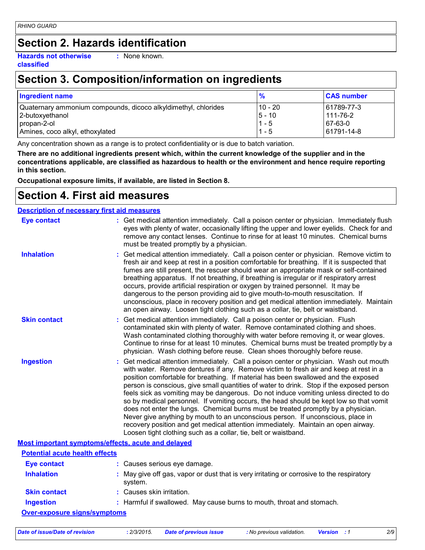# **Section 2. Hazards identification**

**Hazards not otherwise classified**

**:** None known.

# **Section 3. Composition/information on ingredients**

| <b>Ingredient name</b>                                         | $\frac{9}{6}$ | <b>CAS number</b> |
|----------------------------------------------------------------|---------------|-------------------|
| Quaternary ammonium compounds, dicoco alkyldimethyl, chlorides | l 10 - 20     | 61789-77-3        |
| 2-butoxyethanol                                                | $5 - 10$      | 111-76-2          |
| propan-2-ol                                                    | $1 - 5$       | 67-63-0           |
| Amines, coco alkyl, ethoxylated                                | $1 - 5$       | 61791-14-8        |

Any concentration shown as a range is to protect confidentiality or is due to batch variation.

**There are no additional ingredients present which, within the current knowledge of the supplier and in the concentrations applicable, are classified as hazardous to health or the environment and hence require reporting in this section.**

**Occupational exposure limits, if available, are listed in Section 8.**

### **Section 4. First aid measures**

#### **Description of necessary first aid measures**

| <b>Eye contact</b>                                 | : Get medical attention immediately. Call a poison center or physician. Immediately flush<br>eyes with plenty of water, occasionally lifting the upper and lower eyelids. Check for and<br>remove any contact lenses. Continue to rinse for at least 10 minutes. Chemical burns<br>must be treated promptly by a physician.                                                                                                                                                                                                                                                                                                                                                                                                                                                                                                                                                         |
|----------------------------------------------------|-------------------------------------------------------------------------------------------------------------------------------------------------------------------------------------------------------------------------------------------------------------------------------------------------------------------------------------------------------------------------------------------------------------------------------------------------------------------------------------------------------------------------------------------------------------------------------------------------------------------------------------------------------------------------------------------------------------------------------------------------------------------------------------------------------------------------------------------------------------------------------------|
| <b>Inhalation</b>                                  | : Get medical attention immediately. Call a poison center or physician. Remove victim to<br>fresh air and keep at rest in a position comfortable for breathing. If it is suspected that<br>fumes are still present, the rescuer should wear an appropriate mask or self-contained<br>breathing apparatus. If not breathing, if breathing is irregular or if respiratory arrest<br>occurs, provide artificial respiration or oxygen by trained personnel. It may be<br>dangerous to the person providing aid to give mouth-to-mouth resuscitation. If<br>unconscious, place in recovery position and get medical attention immediately. Maintain<br>an open airway. Loosen tight clothing such as a collar, tie, belt or waistband.                                                                                                                                                  |
| <b>Skin contact</b>                                | : Get medical attention immediately. Call a poison center or physician. Flush<br>contaminated skin with plenty of water. Remove contaminated clothing and shoes.<br>Wash contaminated clothing thoroughly with water before removing it, or wear gloves.<br>Continue to rinse for at least 10 minutes. Chemical burns must be treated promptly by a<br>physician. Wash clothing before reuse. Clean shoes thoroughly before reuse.                                                                                                                                                                                                                                                                                                                                                                                                                                                  |
| <b>Ingestion</b>                                   | : Get medical attention immediately. Call a poison center or physician. Wash out mouth<br>with water. Remove dentures if any. Remove victim to fresh air and keep at rest in a<br>position comfortable for breathing. If material has been swallowed and the exposed<br>person is conscious, give small quantities of water to drink. Stop if the exposed person<br>feels sick as vomiting may be dangerous. Do not induce vomiting unless directed to do<br>so by medical personnel. If vomiting occurs, the head should be kept low so that vomit<br>does not enter the lungs. Chemical burns must be treated promptly by a physician.<br>Never give anything by mouth to an unconscious person. If unconscious, place in<br>recovery position and get medical attention immediately. Maintain an open airway.<br>Loosen tight clothing such as a collar, tie, belt or waistband. |
| Most important symptoms/effects, acute and delayed |                                                                                                                                                                                                                                                                                                                                                                                                                                                                                                                                                                                                                                                                                                                                                                                                                                                                                     |
| <b>Potential acute health effects</b>              |                                                                                                                                                                                                                                                                                                                                                                                                                                                                                                                                                                                                                                                                                                                                                                                                                                                                                     |
| <b>Eye contact</b>                                 | : Causes serious eye damage.                                                                                                                                                                                                                                                                                                                                                                                                                                                                                                                                                                                                                                                                                                                                                                                                                                                        |
| <b>Inhalation</b>                                  | : May give off gas, vapor or dust that is very irritating or corrosive to the respiratory<br>system.                                                                                                                                                                                                                                                                                                                                                                                                                                                                                                                                                                                                                                                                                                                                                                                |
| <b>Skin contact</b>                                | : Causes skin irritation.                                                                                                                                                                                                                                                                                                                                                                                                                                                                                                                                                                                                                                                                                                                                                                                                                                                           |
| <b>Ingestion</b>                                   | : Harmful if swallowed. May cause burns to mouth, throat and stomach.                                                                                                                                                                                                                                                                                                                                                                                                                                                                                                                                                                                                                                                                                                                                                                                                               |
| <b>Over-exposure signs/symptoms</b>                |                                                                                                                                                                                                                                                                                                                                                                                                                                                                                                                                                                                                                                                                                                                                                                                                                                                                                     |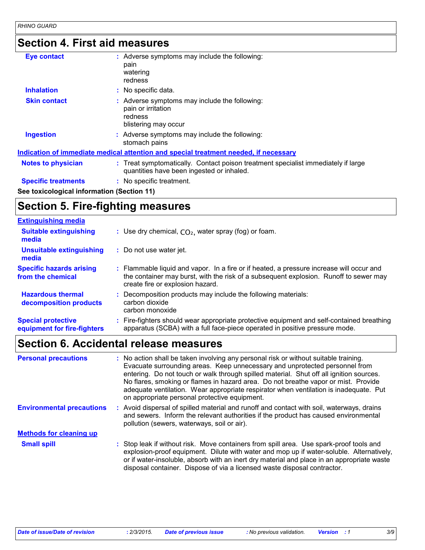# **Section 4. First aid measures**

| <b>Eye contact</b>                         | : Adverse symptoms may include the following:<br>pain<br>watering<br>redness                                                   |
|--------------------------------------------|--------------------------------------------------------------------------------------------------------------------------------|
| <b>Inhalation</b>                          | : No specific data.                                                                                                            |
| <b>Skin contact</b>                        | : Adverse symptoms may include the following:<br>pain or irritation<br>redness<br>blistering may occur                         |
| <b>Ingestion</b>                           | : Adverse symptoms may include the following:<br>stomach pains                                                                 |
|                                            | Indication of immediate medical attention and special treatment needed, if necessary                                           |
| <b>Notes to physician</b>                  | : Treat symptomatically. Contact poison treatment specialist immediately if large<br>quantities have been ingested or inhaled. |
| <b>Specific treatments</b>                 | : No specific treatment.                                                                                                       |
| See toxicological information (Section 11) |                                                                                                                                |

# **Section 5. Fire-fighting measures**

| <b>Extinguishing media</b>                               |                                                                                                                                                                                                                       |
|----------------------------------------------------------|-----------------------------------------------------------------------------------------------------------------------------------------------------------------------------------------------------------------------|
| <b>Suitable extinguishing</b><br>media                   | : Use dry chemical, $CO2$ , water spray (fog) or foam.                                                                                                                                                                |
| <b>Unsuitable extinguishing</b><br>media                 | : Do not use water jet.                                                                                                                                                                                               |
| <b>Specific hazards arising</b><br>from the chemical     | : Flammable liquid and vapor. In a fire or if heated, a pressure increase will occur and<br>the container may burst, with the risk of a subsequent explosion. Runoff to sewer may<br>create fire or explosion hazard. |
| <b>Hazardous thermal</b><br>decomposition products       | Decomposition products may include the following materials:<br>carbon dioxide<br>carbon monoxide                                                                                                                      |
| <b>Special protective</b><br>equipment for fire-fighters | Fire-fighters should wear appropriate protective equipment and self-contained breathing<br>apparatus (SCBA) with a full face-piece operated in positive pressure mode.                                                |

# **Section 6. Accidental release measures**

| <b>Personal precautions</b>      | : No action shall be taken involving any personal risk or without suitable training.<br>Evacuate surrounding areas. Keep unnecessary and unprotected personnel from<br>entering. Do not touch or walk through spilled material. Shut off all ignition sources.<br>No flares, smoking or flames in hazard area. Do not breathe vapor or mist. Provide<br>adequate ventilation. Wear appropriate respirator when ventilation is inadequate. Put<br>on appropriate personal protective equipment. |
|----------------------------------|------------------------------------------------------------------------------------------------------------------------------------------------------------------------------------------------------------------------------------------------------------------------------------------------------------------------------------------------------------------------------------------------------------------------------------------------------------------------------------------------|
| <b>Environmental precautions</b> | Avoid dispersal of spilled material and runoff and contact with soil, waterways, drains<br>and sewers. Inform the relevant authorities if the product has caused environmental<br>pollution (sewers, waterways, soil or air).                                                                                                                                                                                                                                                                  |
| <b>Methods for cleaning up</b>   |                                                                                                                                                                                                                                                                                                                                                                                                                                                                                                |
| <b>Small spill</b>               | : Stop leak if without risk. Move containers from spill area. Use spark-proof tools and<br>explosion-proof equipment. Dilute with water and mop up if water-soluble. Alternatively,<br>or if water-insoluble, absorb with an inert dry material and place in an appropriate waste<br>disposal container. Dispose of via a licensed waste disposal contractor.                                                                                                                                  |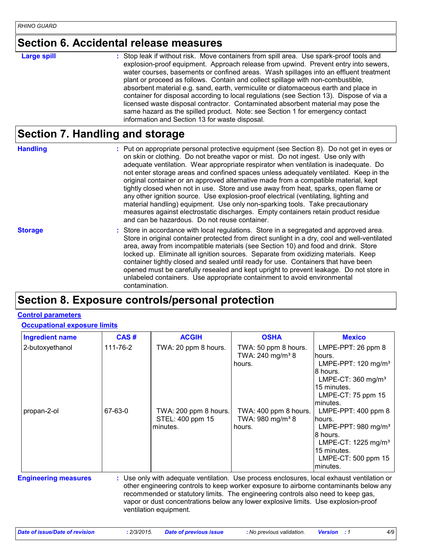### **Section 6. Accidental release measures**

#### **Large spill :**

: Stop leak if without risk. Move containers from spill area. Use spark-proof tools and explosion-proof equipment. Approach release from upwind. Prevent entry into sewers, water courses, basements or confined areas. Wash spillages into an effluent treatment plant or proceed as follows. Contain and collect spillage with non-combustible, absorbent material e.g. sand, earth, vermiculite or diatomaceous earth and place in container for disposal according to local regulations (see Section 13). Dispose of via a licensed waste disposal contractor. Contaminated absorbent material may pose the same hazard as the spilled product. Note: see Section 1 for emergency contact information and Section 13 for waste disposal.

### **Section 7. Handling and storage**

**Handling** entries a metal on appropriate personal protective equipment (see Section 8). Do not get in eyes or and on skin or clothing. Do not breathe vapor or mist. Do not ingest. Use only with adequate ventilation. Wear appropriate respirator when ventilation is inadequate. Do not enter storage areas and confined spaces unless adequately ventilated. Keep in the original container or an approved alternative made from a compatible material, kept tightly closed when not in use. Store and use away from heat, sparks, open flame or any other ignition source. Use explosion-proof electrical (ventilating, lighting and material handling) equipment. Use only non-sparking tools. Take precautionary measures against electrostatic discharges. Empty containers retain product residue and can be hazardous. Do not reuse container.

**Storage** Store in accordance with local regulations. Store in a segregated and approved area. Store in original container protected from direct sunlight in a dry, cool and well-ventilated area, away from incompatible materials (see Section 10) and food and drink. Store locked up. Eliminate all ignition sources. Separate from oxidizing materials. Keep container tightly closed and sealed until ready for use. Containers that have been opened must be carefully resealed and kept upright to prevent leakage. Do not store in unlabeled containers. Use appropriate containment to avoid environmental contamination.

### **Section 8. Exposure controls/personal protection**

#### **Control parameters**

#### **Occupational exposure limits**

| <b>Ingredient name</b>      | CAS#     | <b>ACGIH</b>                                                                                                                                                                                                                                                                                                                                                                            | <b>OSHA</b>                                                     | <b>Mexico</b>                                                                                                                                                        |
|-----------------------------|----------|-----------------------------------------------------------------------------------------------------------------------------------------------------------------------------------------------------------------------------------------------------------------------------------------------------------------------------------------------------------------------------------------|-----------------------------------------------------------------|----------------------------------------------------------------------------------------------------------------------------------------------------------------------|
| 2-butoxyethanol             | 111-76-2 | TWA: 20 ppm 8 hours.                                                                                                                                                                                                                                                                                                                                                                    | TWA: 50 ppm 8 hours.<br>TWA: 240 mg/m <sup>3</sup> 8<br>hours.  | LMPE-PPT: 26 ppm 8<br>hours.<br>LMPE-PPT: $120 \text{ mg/m}^3$<br>8 hours.<br>LMPE-CT: $360$ mg/m <sup>3</sup><br>15 minutes.<br>LMPE-CT: 75 ppm 15<br>minutes.      |
| propan-2-ol                 | 67-63-0  | TWA: 200 ppm 8 hours.<br>STEL: 400 ppm 15<br>minutes.                                                                                                                                                                                                                                                                                                                                   | TWA: 400 ppm 8 hours.<br>TWA: 980 mg/m <sup>3</sup> 8<br>hours. | LMPE-PPT: $400$ ppm $8$<br>hours.<br>LMPE-PPT: 980 mg/m <sup>3</sup><br>8 hours.<br>LMPE-CT: $1225 \text{ mg/m}^3$<br>15 minutes.<br>LMPE-CT: 500 ppm 15<br>minutes. |
| <b>Engineering measures</b> |          | : Use only with adequate ventilation. Use process enclosures, local exhaust ventilation or<br>other engineering controls to keep worker exposure to airborne contaminants below any<br>recommended or statutory limits. The engineering controls also need to keep gas,<br>vapor or dust concentrations below any lower explosive limits. Use explosion-proof<br>ventilation equipment. |                                                                 |                                                                                                                                                                      |

*Date of issue/Date of revision* **:** *2/3/2015. Date of previous issue : No previous validation. Version : 1 4/9*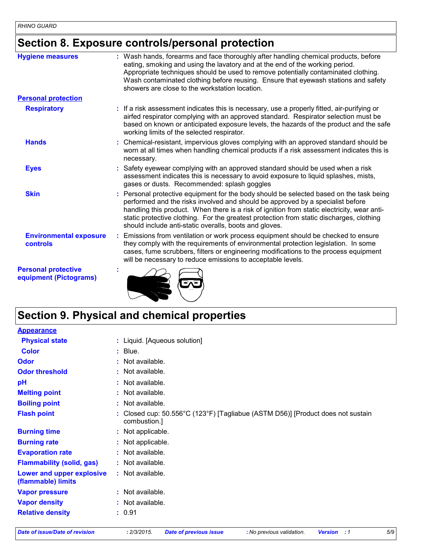# **Section 8. Exposure controls/personal protection**

| <b>Hygiene measures</b>                              | Wash hands, forearms and face thoroughly after handling chemical products, before<br>eating, smoking and using the lavatory and at the end of the working period.<br>Appropriate techniques should be used to remove potentially contaminated clothing.<br>Wash contaminated clothing before reusing. Ensure that eyewash stations and safety<br>showers are close to the workstation location.                              |
|------------------------------------------------------|------------------------------------------------------------------------------------------------------------------------------------------------------------------------------------------------------------------------------------------------------------------------------------------------------------------------------------------------------------------------------------------------------------------------------|
| <b>Personal protection</b>                           |                                                                                                                                                                                                                                                                                                                                                                                                                              |
| <b>Respiratory</b>                                   | : If a risk assessment indicates this is necessary, use a properly fitted, air-purifying or<br>airfed respirator complying with an approved standard. Respirator selection must be<br>based on known or anticipated exposure levels, the hazards of the product and the safe<br>working limits of the selected respirator.                                                                                                   |
| <b>Hands</b>                                         | Chemical-resistant, impervious gloves complying with an approved standard should be<br>worn at all times when handling chemical products if a risk assessment indicates this is<br>necessary.                                                                                                                                                                                                                                |
| <b>Eyes</b>                                          | Safety eyewear complying with an approved standard should be used when a risk<br>assessment indicates this is necessary to avoid exposure to liquid splashes, mists,<br>gases or dusts. Recommended: splash goggles                                                                                                                                                                                                          |
| <b>Skin</b>                                          | Personal protective equipment for the body should be selected based on the task being<br>performed and the risks involved and should be approved by a specialist before<br>handling this product. When there is a risk of ignition from static electricity, wear anti-<br>static protective clothing. For the greatest protection from static discharges, clothing<br>should include anti-static overalls, boots and gloves. |
| <b>Environmental exposure</b><br>controls            | Emissions from ventilation or work process equipment should be checked to ensure<br>they comply with the requirements of environmental protection legislation. In some<br>cases, fume scrubbers, filters or engineering modifications to the process equipment<br>will be necessary to reduce emissions to acceptable levels.                                                                                                |
| <b>Personal protective</b><br>equipment (Pictograms) |                                                                                                                                                                                                                                                                                                                                                                                                                              |

# **Section 9. Physical and chemical properties**

| <b>Appearance</b>                               |    |                                                                                               |
|-------------------------------------------------|----|-----------------------------------------------------------------------------------------------|
| <b>Physical state</b>                           |    | : Liquid. [Aqueous solution]                                                                  |
| <b>Color</b>                                    |    | $:$ Blue.                                                                                     |
| <b>Odor</b>                                     |    | $:$ Not available.                                                                            |
| <b>Odor threshold</b>                           |    | : Not available.                                                                              |
| pH                                              |    | : Not available.                                                                              |
| <b>Melting point</b>                            |    | : Not available.                                                                              |
| <b>Boiling point</b>                            |    | : Not available.                                                                              |
| <b>Flash point</b>                              | t. | Closed cup: 50.556°C (123°F) [Tagliabue (ASTM D56)] [Product does not sustain<br>combustion.] |
| <b>Burning time</b>                             |    | : Not applicable.                                                                             |
| <b>Burning rate</b>                             |    | Not applicable.                                                                               |
| <b>Evaporation rate</b>                         |    | : Not available.                                                                              |
| <b>Flammability (solid, gas)</b>                |    | $:$ Not available.                                                                            |
| Lower and upper explosive<br>(flammable) limits |    | : Not available.                                                                              |
| <b>Vapor pressure</b>                           |    | $:$ Not available.                                                                            |
| <b>Vapor density</b>                            |    | : Not available.                                                                              |
| <b>Relative density</b>                         |    | : 0.91                                                                                        |
|                                                 |    |                                                                                               |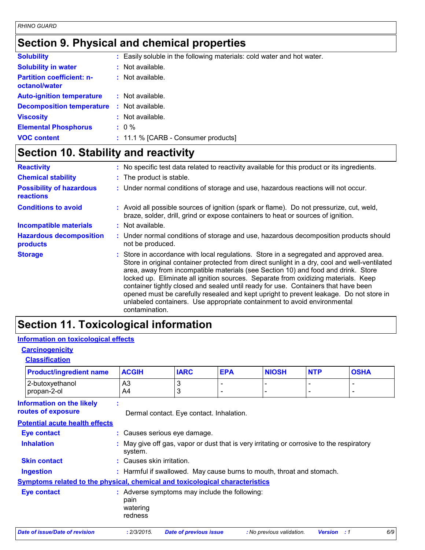# **Section 9. Physical and chemical properties**

| <b>Solubility</b>                                 |     | : Easily soluble in the following materials: cold water and hot water. |
|---------------------------------------------------|-----|------------------------------------------------------------------------|
| <b>Solubility in water</b>                        |     | : Not available.                                                       |
| <b>Partition coefficient: n-</b><br>octanol/water |     | $:$ Not available.                                                     |
| <b>Auto-ignition temperature</b>                  |     | $:$ Not available.                                                     |
| <b>Decomposition temperature</b>                  | -11 | Not available.                                                         |
| <b>Viscosity</b>                                  |     | $:$ Not available.                                                     |
| <b>Elemental Phosphorus</b>                       |     | $: 0 \%$                                                               |
| <b>VOC content</b>                                |     | : 11.1 % [CARB - Consumer products]                                    |

# **Section 10. Stability and reactivity**

| <b>Reactivity</b>                                   | : No specific test data related to reactivity available for this product or its ingredients.                                                                                                                                                                                                                                                                                                                                                                                                                                                                                                                                                     |
|-----------------------------------------------------|--------------------------------------------------------------------------------------------------------------------------------------------------------------------------------------------------------------------------------------------------------------------------------------------------------------------------------------------------------------------------------------------------------------------------------------------------------------------------------------------------------------------------------------------------------------------------------------------------------------------------------------------------|
| <b>Chemical stability</b>                           | : The product is stable.                                                                                                                                                                                                                                                                                                                                                                                                                                                                                                                                                                                                                         |
| <b>Possibility of hazardous</b><br><b>reactions</b> | : Under normal conditions of storage and use, hazardous reactions will not occur.                                                                                                                                                                                                                                                                                                                                                                                                                                                                                                                                                                |
| <b>Conditions to avoid</b>                          | : Avoid all possible sources of ignition (spark or flame). Do not pressurize, cut, weld,<br>braze, solder, drill, grind or expose containers to heat or sources of ignition.                                                                                                                                                                                                                                                                                                                                                                                                                                                                     |
| <b>Incompatible materials</b>                       | $:$ Not available.                                                                                                                                                                                                                                                                                                                                                                                                                                                                                                                                                                                                                               |
| <b>Hazardous decomposition</b><br>products          | : Under normal conditions of storage and use, hazardous decomposition products should<br>not be produced.                                                                                                                                                                                                                                                                                                                                                                                                                                                                                                                                        |
| <b>Storage</b>                                      | : Store in accordance with local regulations. Store in a segregated and approved area.<br>Store in original container protected from direct sunlight in a dry, cool and well-ventilated<br>area, away from incompatible materials (see Section 10) and food and drink. Store<br>locked up. Eliminate all ignition sources. Separate from oxidizing materials. Keep<br>container tightly closed and sealed until ready for use. Containers that have been<br>opened must be carefully resealed and kept upright to prevent leakage. Do not store in<br>unlabeled containers. Use appropriate containment to avoid environmental<br>contamination. |

# **Section 11. Toxicological information**

#### **Information on toxicological effects**

### **Carcinogenicity**

|  | <b>Classification</b> |  |
|--|-----------------------|--|
|--|-----------------------|--|

| <b>Product/ingredient name</b>                                                      | <b>ACGIH</b>                | <b>IARC</b>                                                                               | <b>EPA</b> | <b>NIOSH</b>              | <b>NTP</b>               | <b>OSHA</b>  |
|-------------------------------------------------------------------------------------|-----------------------------|-------------------------------------------------------------------------------------------|------------|---------------------------|--------------------------|--------------|
| 2-butoxyethanol<br>propan-2-ol                                                      | A <sub>3</sub><br>A4        | 3<br>3                                                                                    |            |                           | $\overline{\phantom{a}}$ | -            |
| <b>Information on the likely</b><br>routes of exposure                              | $\bullet$<br>$\mathbf{r}$   | Dermal contact. Eye contact. Inhalation.                                                  |            |                           |                          |              |
| <b>Potential acute health effects</b>                                               |                             |                                                                                           |            |                           |                          |              |
| <b>Eye contact</b>                                                                  |                             | : Causes serious eye damage.                                                              |            |                           |                          |              |
| <b>Inhalation</b>                                                                   | system.                     | : May give off gas, vapor or dust that is very irritating or corrosive to the respiratory |            |                           |                          |              |
| <b>Skin contact</b>                                                                 | : Causes skin irritation.   |                                                                                           |            |                           |                          |              |
| Ingestion                                                                           |                             | : Harmful if swallowed. May cause burns to mouth, throat and stomach.                     |            |                           |                          |              |
| <b>Symptoms related to the physical, chemical and toxicological characteristics</b> |                             |                                                                                           |            |                           |                          |              |
| <b>Eye contact</b>                                                                  | pain<br>watering<br>redness | : Adverse symptoms may include the following:                                             |            |                           |                          |              |
| Date of issue/Date of revision                                                      | : 2/3/2015.                 | <b>Date of previous issue</b>                                                             |            | : No previous validation. | <b>Version</b>           | 6/9<br>. . 1 |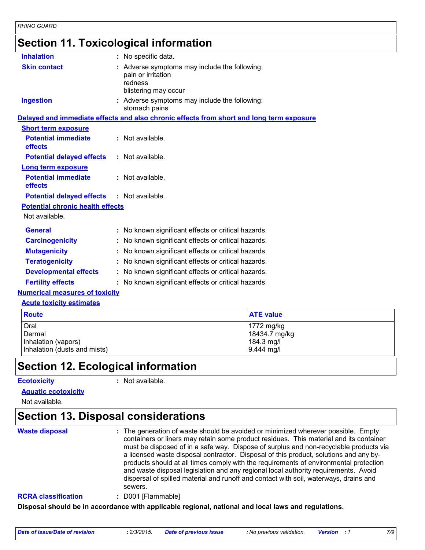### **Section 11. Toxicological information**

| <b>Inhalation</b>                                 | : No specific data.                                                                                    |
|---------------------------------------------------|--------------------------------------------------------------------------------------------------------|
| <b>Skin contact</b>                               | : Adverse symptoms may include the following:<br>pain or irritation<br>redness<br>blistering may occur |
| <b>Ingestion</b>                                  | : Adverse symptoms may include the following:<br>stomach pains                                         |
|                                                   | Delayed and immediate effects and also chronic effects from short and long term exposure               |
| <b>Short term exposure</b>                        |                                                                                                        |
| <b>Potential immediate</b><br>effects             | $:$ Not available.                                                                                     |
| <b>Potential delayed effects</b>                  | : Not available.                                                                                       |
| <b>Long term exposure</b>                         |                                                                                                        |
| <b>Potential immediate</b><br>effects             | : Not available.                                                                                       |
| <b>Potential delayed effects : Not available.</b> |                                                                                                        |
| <b>Potential chronic health effects</b>           |                                                                                                        |
| Not available.                                    |                                                                                                        |
| <b>General</b>                                    | : No known significant effects or critical hazards.                                                    |
| <b>Carcinogenicity</b>                            | : No known significant effects or critical hazards.                                                    |
| <b>Mutagenicity</b>                               | : No known significant effects or critical hazards.                                                    |
| <b>Teratogenicity</b>                             | : No known significant effects or critical hazards.                                                    |
| <b>Developmental effects</b>                      | : No known significant effects or critical hazards.                                                    |
| <b>Fertility effects</b>                          | : No known significant effects or critical hazards.                                                    |
| <b>Numerical measures of toxicity</b>             |                                                                                                        |
| <b>Acute toxicity estimates</b>                   |                                                                                                        |

| <b>Route</b>                 | <b>ATE value</b> |
|------------------------------|------------------|
| Oral                         | 1772 mg/kg       |
| Dermal                       | 18434.7 mg/kg    |
| Inhalation (vapors)          | $184.3$ mg/l     |
| Inhalation (dusts and mists) | $9.444$ mg/l     |

# **Section 12. Ecological information**

#### **Ecotoxicity :**

: Not available.

#### **Aquatic ecotoxicity**

Not available.

# **Section 13. Disposal considerations**

**Waste disposal :**

The generation of waste should be avoided or minimized wherever possible. Empty containers or liners may retain some product residues. This material and its container must be disposed of in a safe way. Dispose of surplus and non-recyclable products via a licensed waste disposal contractor. Disposal of this product, solutions and any byproducts should at all times comply with the requirements of environmental protection and waste disposal legislation and any regional local authority requirements. Avoid dispersal of spilled material and runoff and contact with soil, waterways, drains and sewers.

#### **RCRA classification :** D001 [Flammable]

**Disposal should be in accordance with applicable regional, national and local laws and regulations.**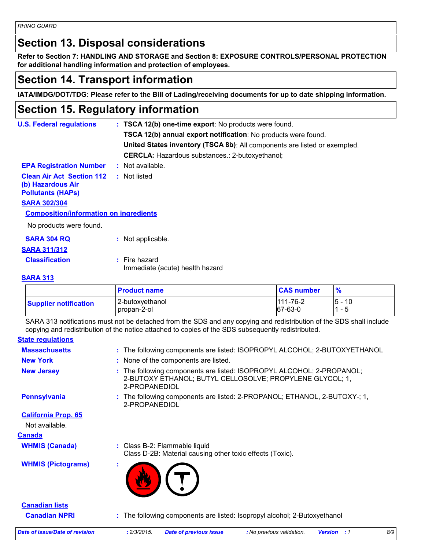*RHINO GUARD*

### **Section 13. Disposal considerations**

**Refer to Section 7: HANDLING AND STORAGE and Section 8: EXPOSURE CONTROLS/PERSONAL PROTECTION for additional handling information and protection of employees.**

### **Section 14. Transport information**

**IATA/IMDG/DOT/TDG: Please refer to the Bill of Lading/receiving documents for up to date shipping information.**

### **Section 15. Regulatory information**

| <b>U.S. Federal regulations</b>                                                   | : TSCA 12(b) one-time export: No products were found.                     |  |  |
|-----------------------------------------------------------------------------------|---------------------------------------------------------------------------|--|--|
|                                                                                   | <b>TSCA 12(b) annual export notification:</b> No products were found.     |  |  |
|                                                                                   | United States inventory (TSCA 8b): All components are listed or exempted. |  |  |
|                                                                                   | <b>CERCLA:</b> Hazardous substances.: 2-butoxyethanol;                    |  |  |
| <b>EPA Registration Number</b>                                                    | : Not available.                                                          |  |  |
| <b>Clean Air Act Section 112</b><br>(b) Hazardous Air<br><b>Pollutants (HAPS)</b> | : Not listed                                                              |  |  |
| <b>SARA 302/304</b>                                                               |                                                                           |  |  |
| <b>Composition/information on ingredients</b>                                     |                                                                           |  |  |
| No products were found.                                                           |                                                                           |  |  |
| <b>SARA 304 RQ</b>                                                                | : Not applicable.                                                         |  |  |
| <b>SARA 311/312</b>                                                               |                                                                           |  |  |
| <b>Classification</b>                                                             | $:$ Fire hazard<br>Immediate (acute) health hazard                        |  |  |

#### **SARA 313**

|                              | <b>Product name</b>            | <b>CAS number</b>         |             |
|------------------------------|--------------------------------|---------------------------|-------------|
| <b>Supplier notification</b> | 2-butoxyethanol<br>propan-2-ol | $111 - 76 - 2$<br>67-63-0 | 10<br>$5 -$ |

SARA 313 notifications must not be detached from the SDS and any copying and redistribution of the SDS shall include copying and redistribution of the notice attached to copies of the SDS subsequently redistributed.

#### **State regulations**

| <b>Massachusetts</b>       | : The following components are listed: ISOPROPYL ALCOHOL; 2-BUTOXYETHANOL                                                                          |
|----------------------------|----------------------------------------------------------------------------------------------------------------------------------------------------|
| <b>New York</b>            | : None of the components are listed.                                                                                                               |
| <b>New Jersey</b>          | : The following components are listed: ISOPROPYL ALCOHOL; 2-PROPANOL;<br>2-BUTOXY ETHANOL; BUTYL CELLOSOLVE; PROPYLENE GLYCOL; 1,<br>2-PROPANEDIOL |
| <b>Pennsylvania</b>        | : The following components are listed: 2-PROPANOL; ETHANOL, 2-BUTOXY-; 1,<br>2-PROPANEDIOL                                                         |
| <b>California Prop. 65</b> |                                                                                                                                                    |
| Not available.             |                                                                                                                                                    |
| <u>Canada</u>              |                                                                                                                                                    |
| <b>WHMIS (Canada)</b>      | : Class B-2: Flammable liquid<br>Class D-2B: Material causing other toxic effects (Toxic).                                                         |
| <b>WHMIS (Pictograms)</b>  |                                                                                                                                                    |
| <b>Canadian lists</b>      |                                                                                                                                                    |
| <b>Canadian NPRI</b>       | : The following components are listed: Isopropyl alcohol; 2-Butoxyethanol                                                                          |